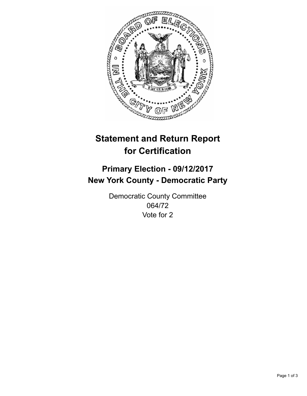

## **Statement and Return Report for Certification**

## **Primary Election - 09/12/2017 New York County - Democratic Party**

Democratic County Committee 064/72 Vote for 2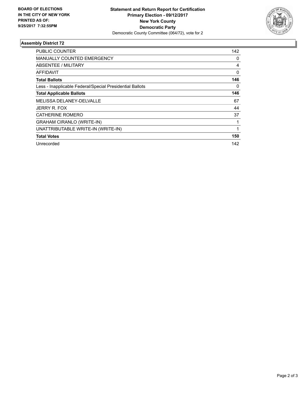

## **Assembly District 72**

| PUBLIC COUNTER                                           | 142 |
|----------------------------------------------------------|-----|
| MANUALLY COUNTED EMERGENCY                               | 0   |
| ABSENTEE / MILITARY                                      | 4   |
| <b>AFFIDAVIT</b>                                         | 0   |
| <b>Total Ballots</b>                                     | 146 |
| Less - Inapplicable Federal/Special Presidential Ballots | 0   |
| <b>Total Applicable Ballots</b>                          | 146 |
| <b>MELISSA DELANEY-DELVALLE</b>                          | 67  |
| JERRY R. FOX                                             | 44  |
| <b>CATHERINE ROMERO</b>                                  | 37  |
| <b>GRAHAM CIRANLO (WRITE-IN)</b>                         |     |
| UNATTRIBUTABLE WRITE-IN (WRITE-IN)                       |     |
| <b>Total Votes</b>                                       | 150 |
| Unrecorded                                               | 142 |